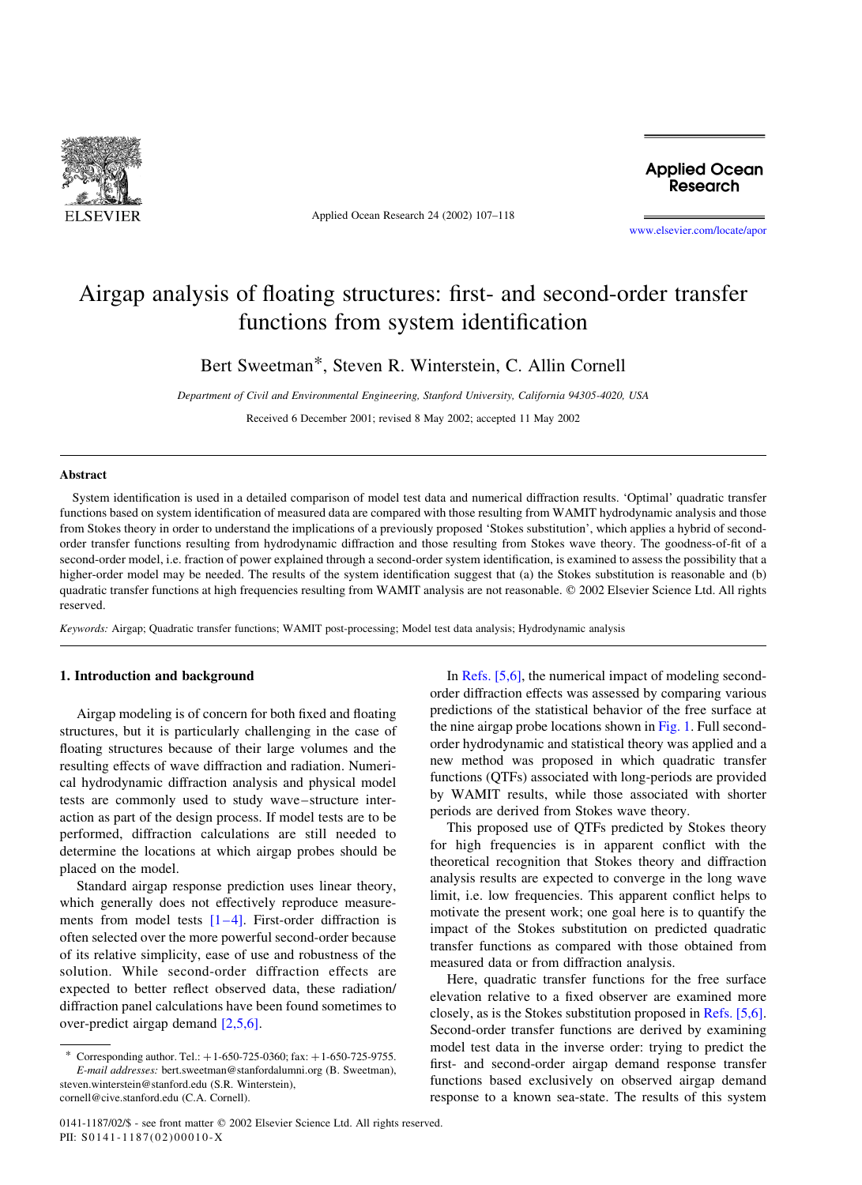

Applied Ocean Research 24 (2002) 107–118

**Applied Ocean Research** 

[www.elsevier.com/locate/apor](http://www.elsevier.com/locate/apor)

# Airgap analysis of floating structures: first- and second-order transfer functions from system identification

Bert Sweetman\*, Steven R. Winterstein, C. Allin Cornell

Department of Civil and Environmental Engineering, Stanford University, California 94305-4020, USA Received 6 December 2001; revised 8 May 2002; accepted 11 May 2002

## Abstract

System identification is used in a detailed comparison of model test data and numerical diffraction results. 'Optimal' quadratic transfer functions based on system identification of measured data are compared with those resulting from WAMIT hydrodynamic analysis and those from Stokes theory in order to understand the implications of a previously proposed 'Stokes substitution', which applies a hybrid of secondorder transfer functions resulting from hydrodynamic diffraction and those resulting from Stokes wave theory. The goodness-of-fit of a second-order model, i.e. fraction of power explained through a second-order system identification, is examined to assess the possibility that a higher-order model may be needed. The results of the system identification suggest that (a) the Stokes substitution is reasonable and (b) quadratic transfer functions at high frequencies resulting from WAMIT analysis are not reasonable. © 2002 Elsevier Science Ltd. All rights reserved.

Keywords: Airgap; Quadratic transfer functions; WAMIT post-processing; Model test data analysis; Hydrodynamic analysis

#### 1. Introduction and background

Airgap modeling is of concern for both fixed and floating structures, but it is particularly challenging in the case of floating structures because of their large volumes and the resulting effects of wave diffraction and radiation. Numerical hydrodynamic diffraction analysis and physical model tests are commonly used to study wave–structure interaction as part of the design process. If model tests are to be performed, diffraction calculations are still needed to determine the locations at which airgap probes should be placed on the model.

Standard airgap response prediction uses linear theory, which generally does not effectively reproduce measurements from model tests  $[1-4]$ . First-order diffraction is often selected over the more powerful second-order because of its relative simplicity, ease of use and robustness of the solution. While second-order diffraction effects are expected to better reflect observed data, these radiation/ diffraction panel calculations have been found sometimes to over-predict airgap demand [\[2,5,6\].](#page-11-0)

In [Refs. \[5,6\],](#page-11-0) the numerical impact of modeling secondorder diffraction effects was assessed by comparing various predictions of the statistical behavior of the free surface at the nine airgap probe locations shown in [Fig. 1.](#page-1-0) Full secondorder hydrodynamic and statistical theory was applied and a new method was proposed in which quadratic transfer functions (QTFs) associated with long-periods are provided by WAMIT results, while those associated with shorter periods are derived from Stokes wave theory.

This proposed use of QTFs predicted by Stokes theory for high frequencies is in apparent conflict with the theoretical recognition that Stokes theory and diffraction analysis results are expected to converge in the long wave limit, i.e. low frequencies. This apparent conflict helps to motivate the present work; one goal here is to quantify the impact of the Stokes substitution on predicted quadratic transfer functions as compared with those obtained from measured data or from diffraction analysis.

Here, quadratic transfer functions for the free surface elevation relative to a fixed observer are examined more closely, as is the Stokes substitution proposed in [Refs. \[5,6\]](#page-11-0). Second-order transfer functions are derived by examining model test data in the inverse order: trying to predict the first- and second-order airgap demand response transfer functions based exclusively on observed airgap demand response to a known sea-state. The results of this system

Corresponding author. Tel.:  $+1-650-725-0360$ ; fax:  $+1-650-725-9755$ . E-mail addresses: bert.sweetman@stanfordalumni.org (B. Sweetman), steven.winterstein@stanford.edu (S.R. Winterstein), cornell@cive.stanford.edu (C.A. Cornell).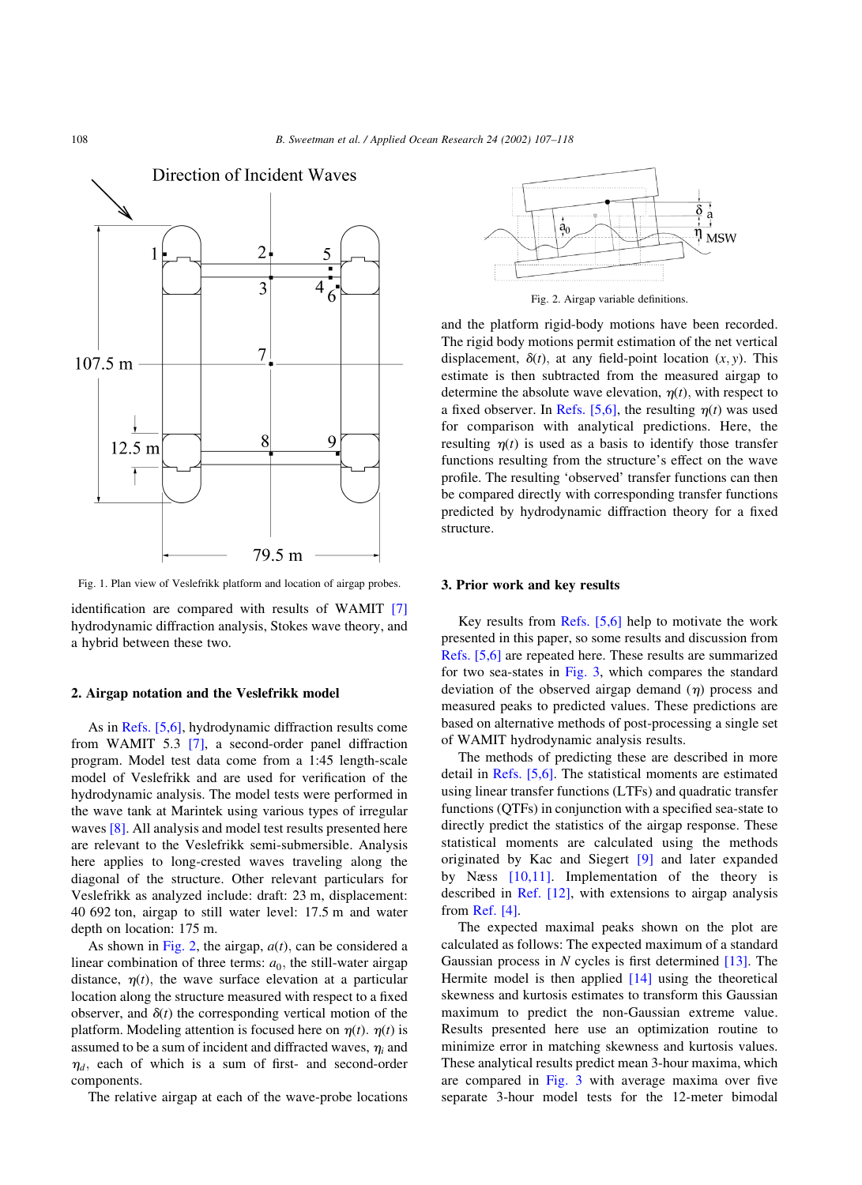<span id="page-1-0"></span>

Fig. 1. Plan view of Veslefrikk platform and location of airgap probes.

identification are compared with results of WAMIT [\[7\]](#page-11-0) hydrodynamic diffraction analysis, Stokes wave theory, and a hybrid between these two.

## 2. Airgap notation and the Veslefrikk model

As in [Refs. \[5,6\]](#page-11-0), hydrodynamic diffraction results come from WAMIT 5.3 [\[7\]](#page-11-0), a second-order panel diffraction program. Model test data come from a 1:45 length-scale model of Veslefrikk and are used for verification of the hydrodynamic analysis. The model tests were performed in the wave tank at Marintek using various types of irregular waves [\[8\]](#page-11-0). All analysis and model test results presented here are relevant to the Veslefrikk semi-submersible. Analysis here applies to long-crested waves traveling along the diagonal of the structure. Other relevant particulars for Veslefrikk as analyzed include: draft: 23 m, displacement: 40 692 ton, airgap to still water level: 17.5 m and water depth on location: 175 m.

As shown in Fig. 2, the airgap,  $a(t)$ , can be considered a linear combination of three terms:  $a<sub>0</sub>$ , the still-water airgap distance,  $\eta(t)$ , the wave surface elevation at a particular location along the structure measured with respect to a fixed observer, and  $\delta(t)$  the corresponding vertical motion of the platform. Modeling attention is focused here on  $\eta(t)$ .  $\eta(t)$  is assumed to be a sum of incident and diffracted waves,  $\eta_i$  and  $\eta_d$ , each of which is a sum of first- and second-order components.

The relative airgap at each of the wave-probe locations



Fig. 2. Airgap variable definitions.

and the platform rigid-body motions have been recorded. The rigid body motions permit estimation of the net vertical displacement,  $\delta(t)$ , at any field-point location  $(x, y)$ . This estimate is then subtracted from the measured airgap to determine the absolute wave elevation,  $\eta(t)$ , with respect to a fixed observer. In [Refs. \[5,6\]](#page-11-0), the resulting  $\eta(t)$  was used for comparison with analytical predictions. Here, the resulting  $\eta(t)$  is used as a basis to identify those transfer functions resulting from the structure's effect on the wave profile. The resulting 'observed' transfer functions can then be compared directly with corresponding transfer functions predicted by hydrodynamic diffraction theory for a fixed structure.

## 3. Prior work and key results

Key results from [Refs. \[5,6\]](#page-11-0) help to motivate the work presented in this paper, so some results and discussion from [Refs. \[5,6\]](#page-11-0) are repeated here. These results are summarized for two sea-states in Fig.  $3$ , which compares the standard deviation of the observed airgap demand  $(\eta)$  process and measured peaks to predicted values. These predictions are based on alternative methods of post-processing a single set of WAMIT hydrodynamic analysis results.

The methods of predicting these are described in more detail in [Refs. \[5,6\]](#page-11-0). The statistical moments are estimated using linear transfer functions (LTFs) and quadratic transfer functions (QTFs) in conjunction with a specified sea-state to directly predict the statistics of the airgap response. These statistical moments are calculated using the methods originated by Kac and Siegert [\[9\]](#page-11-0) and later expanded by Næss [\[10,11\].](#page-11-0) Implementation of the theory is described in [Ref. \[12\]](#page-11-0), with extensions to airgap analysis from [Ref. \[4\].](#page-11-0)

The expected maximal peaks shown on the plot are calculated as follows: The expected maximum of a standard Gaussian process in  $N$  cycles is first determined [\[13\]](#page-11-0). The Hermite model is then applied [\[14\]](#page-11-0) using the theoretical skewness and kurtosis estimates to transform this Gaussian maximum to predict the non-Gaussian extreme value. Results presented here use an optimization routine to minimize error in matching skewness and kurtosis values. These analytical results predict mean 3-hour maxima, which are compared in [Fig. 3](#page-2-0) with average maxima over five separate 3-hour model tests for the 12-meter bimodal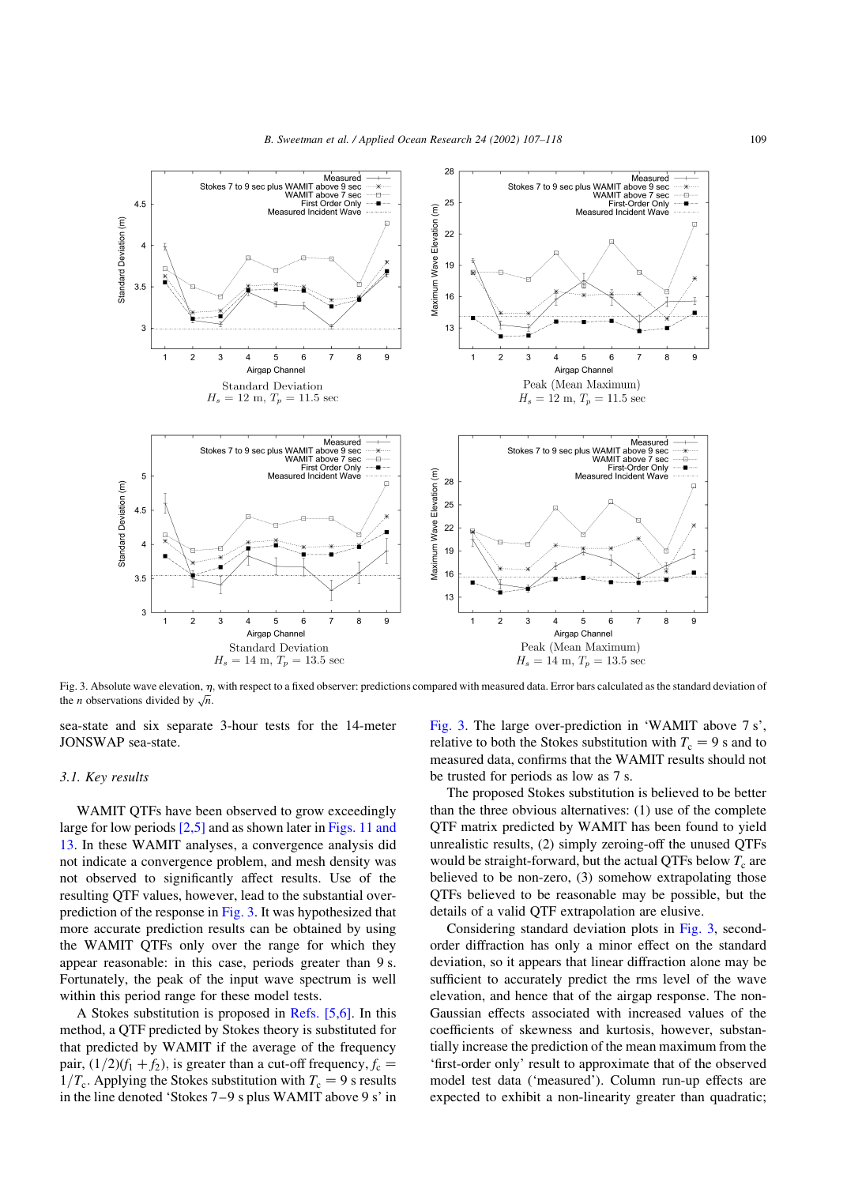<span id="page-2-0"></span>

Fig. 3. Absolute wave elevation,  $\eta$ , with respect to a fixed observer: predictions compared with measured data. Error bars calculated as the standard deviation of Fig. 5. Absolute wave elevation,  $\eta$ .<br>the *n* observations divided by  $\sqrt{n}$ .

sea-state and six separate 3-hour tests for the 14-meter JONSWAP sea-state.

## 3.1. Key results

WAMIT QTFs have been observed to grow exceedingly large for low periods  $[2,5]$  and as shown later in [Figs. 11 and](#page-8-0) [13](#page-8-0). In these WAMIT analyses, a convergence analysis did not indicate a convergence problem, and mesh density was not observed to significantly affect results. Use of the resulting QTF values, however, lead to the substantial overprediction of the response in Fig. 3. It was hypothesized that more accurate prediction results can be obtained by using the WAMIT QTFs only over the range for which they appear reasonable: in this case, periods greater than 9 s. Fortunately, the peak of the input wave spectrum is well within this period range for these model tests.

A Stokes substitution is proposed in [Refs. \[5,6\].](#page-11-0) In this method, a QTF predicted by Stokes theory is substituted for that predicted by WAMIT if the average of the frequency pair,  $\left(\frac{1}{2}\right)(f_1 + f_2)$ , is greater than a cut-off frequency,  $f_c$  =  $1/T_c$ . Applying the Stokes substitution with  $T_c = 9$  s results in the line denoted 'Stokes 7–9 s plus WAMIT above 9 s' in

Fig. 3. The large over-prediction in 'WAMIT above 7 s', relative to both the Stokes substitution with  $T_c = 9$  s and to measured data, confirms that the WAMIT results should not be trusted for periods as low as 7 s.

The proposed Stokes substitution is believed to be better than the three obvious alternatives: (1) use of the complete QTF matrix predicted by WAMIT has been found to yield unrealistic results, (2) simply zeroing-off the unused QTFs would be straight-forward, but the actual QTFs below  $T_c$  are believed to be non-zero, (3) somehow extrapolating those QTFs believed to be reasonable may be possible, but the details of a valid QTF extrapolation are elusive.

Considering standard deviation plots in Fig. 3, secondorder diffraction has only a minor effect on the standard deviation, so it appears that linear diffraction alone may be sufficient to accurately predict the rms level of the wave elevation, and hence that of the airgap response. The non-Gaussian effects associated with increased values of the coefficients of skewness and kurtosis, however, substantially increase the prediction of the mean maximum from the 'first-order only' result to approximate that of the observed model test data ('measured'). Column run-up effects are expected to exhibit a non-linearity greater than quadratic;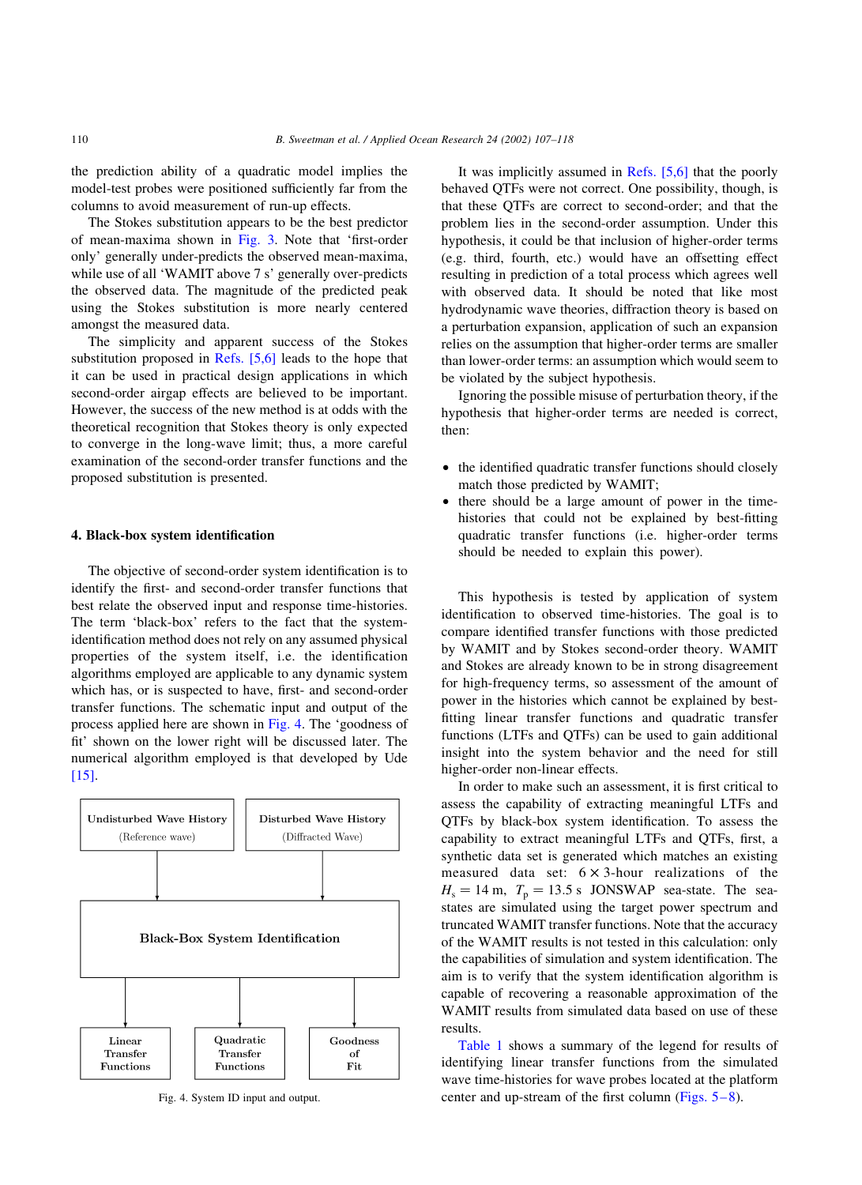the prediction ability of a quadratic model implies the model-test probes were positioned sufficiently far from the columns to avoid measurement of run-up effects.

The Stokes substitution appears to be the best predictor of mean-maxima shown in [Fig. 3](#page-2-0). Note that 'first-order only' generally under-predicts the observed mean-maxima, while use of all 'WAMIT above 7 s' generally over-predicts the observed data. The magnitude of the predicted peak using the Stokes substitution is more nearly centered amongst the measured data.

The simplicity and apparent success of the Stokes substitution proposed in [Refs. \[5,6\]](#page-11-0) leads to the hope that it can be used in practical design applications in which second-order airgap effects are believed to be important. However, the success of the new method is at odds with the theoretical recognition that Stokes theory is only expected to converge in the long-wave limit; thus, a more careful examination of the second-order transfer functions and the proposed substitution is presented.

## 4. Black-box system identification

The objective of second-order system identification is to identify the first- and second-order transfer functions that best relate the observed input and response time-histories. The term 'black-box' refers to the fact that the systemidentification method does not rely on any assumed physical properties of the system itself, i.e. the identification algorithms employed are applicable to any dynamic system which has, or is suspected to have, first- and second-order transfer functions. The schematic input and output of the process applied here are shown in Fig. 4. The 'goodness of fit' shown on the lower right will be discussed later. The numerical algorithm employed is that developed by Ude [\[15\]](#page-11-0).



It was implicitly assumed in [Refs. \[5,6\]](#page-11-0) that the poorly behaved QTFs were not correct. One possibility, though, is that these QTFs are correct to second-order; and that the problem lies in the second-order assumption. Under this hypothesis, it could be that inclusion of higher-order terms (e.g. third, fourth, etc.) would have an offsetting effect resulting in prediction of a total process which agrees well with observed data. It should be noted that like most hydrodynamic wave theories, diffraction theory is based on a perturbation expansion, application of such an expansion relies on the assumption that higher-order terms are smaller than lower-order terms: an assumption which would seem to be violated by the subject hypothesis.

Ignoring the possible misuse of perturbation theory, if the hypothesis that higher-order terms are needed is correct, then:

- the identified quadratic transfer functions should closely match those predicted by WAMIT;
- there should be a large amount of power in the timehistories that could not be explained by best-fitting quadratic transfer functions (i.e. higher-order terms should be needed to explain this power).

This hypothesis is tested by application of system identification to observed time-histories. The goal is to compare identified transfer functions with those predicted by WAMIT and by Stokes second-order theory. WAMIT and Stokes are already known to be in strong disagreement for high-frequency terms, so assessment of the amount of power in the histories which cannot be explained by bestfitting linear transfer functions and quadratic transfer functions (LTFs and QTFs) can be used to gain additional insight into the system behavior and the need for still higher-order non-linear effects.

In order to make such an assessment, it is first critical to assess the capability of extracting meaningful LTFs and QTFs by black-box system identification. To assess the capability to extract meaningful LTFs and QTFs, first, a synthetic data set is generated which matches an existing measured data set:  $6 \times 3$ -hour realizations of the  $H_s = 14$  m,  $T_p = 13.5$  s JONSWAP sea-state. The seastates are simulated using the target power spectrum and truncated WAMIT transfer functions. Note that the accuracy of the WAMIT results is not tested in this calculation: only the capabilities of simulation and system identification. The aim is to verify that the system identification algorithm is capable of recovering a reasonable approximation of the WAMIT results from simulated data based on use of these results.

[Table 1](#page-4-0) shows a summary of the legend for results of identifying linear transfer functions from the simulated wave time-histories for wave probes located at the platform Fig. 4. System ID input and output. center and up-stream of the first column [\(Figs. 5–8\)](#page-5-0).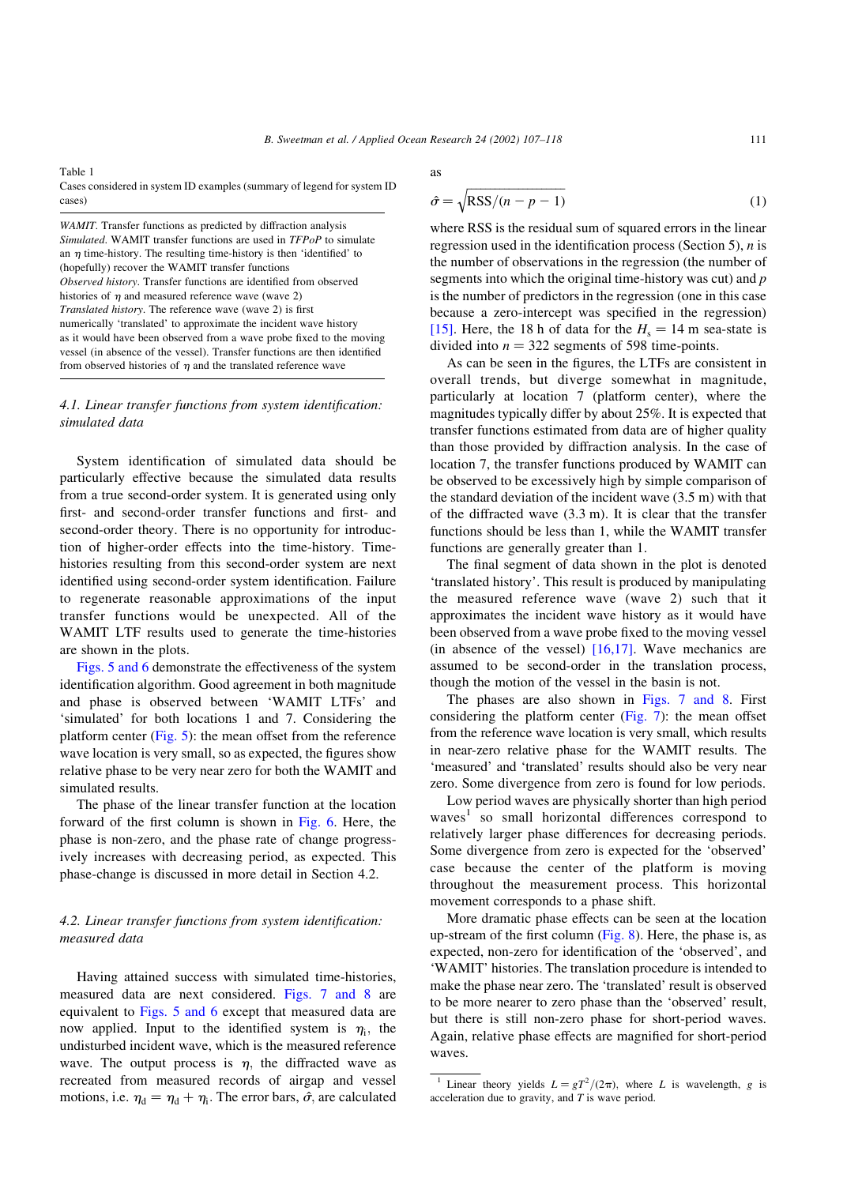<span id="page-4-0"></span>Table 1

Cases considered in system ID examples (summary of legend for system ID cases)

WAMIT. Transfer functions as predicted by diffraction analysis Simulated. WAMIT transfer functions are used in TFPoP to simulate an  $\eta$  time-history. The resulting time-history is then 'identified' to (hopefully) recover the WAMIT transfer functions Observed history. Transfer functions are identified from observed histories of  $\eta$  and measured reference wave (wave 2) Translated history. The reference wave (wave 2) is first numerically 'translated' to approximate the incident wave history as it would have been observed from a wave probe fixed to the moving vessel (in absence of the vessel). Transfer functions are then identified from observed histories of  $\eta$  and the translated reference wave

## 4.1. Linear transfer functions from system identification: simulated data

System identification of simulated data should be particularly effective because the simulated data results from a true second-order system. It is generated using only first- and second-order transfer functions and first- and second-order theory. There is no opportunity for introduction of higher-order effects into the time-history. Timehistories resulting from this second-order system are next identified using second-order system identification. Failure to regenerate reasonable approximations of the input transfer functions would be unexpected. All of the WAMIT LTF results used to generate the time-histories are shown in the plots.

[Figs. 5 and 6](#page-5-0) demonstrate the effectiveness of the system identification algorithm. Good agreement in both magnitude and phase is observed between 'WAMIT LTFs' and 'simulated' for both locations 1 and 7. Considering the platform center [\(Fig. 5\)](#page-5-0): the mean offset from the reference wave location is very small, so as expected, the figures show relative phase to be very near zero for both the WAMIT and simulated results.

The phase of the linear transfer function at the location forward of the first column is shown in [Fig. 6](#page-5-0). Here, the phase is non-zero, and the phase rate of change progressively increases with decreasing period, as expected. This phase-change is discussed in more detail in Section 4.2.

# 4.2. Linear transfer functions from system identification: measured data

Having attained success with simulated time-histories, measured data are next considered. [Figs. 7 and 8](#page-6-0) are equivalent to [Figs. 5 and 6](#page-5-0) except that measured data are now applied. Input to the identified system is  $\eta_i$ , the undisturbed incident wave, which is the measured reference wave. The output process is  $\eta$ , the diffracted wave as recreated from measured records of airgap and vessel motions, i.e.  $\eta_d = \eta_d + \eta_i$ . The error bars,  $\hat{\sigma}$ , are calculated as

$$
\hat{\sigma} = \sqrt{\text{RSS}/(n - p - 1)}\tag{1}
$$

where RSS is the residual sum of squared errors in the linear regression used in the identification process (Section 5),  $n$  is the number of observations in the regression (the number of segments into which the original time-history was cut) and  $p$ is the number of predictors in the regression (one in this case because a zero-intercept was specified in the regression) [\[15\]](#page-11-0). Here, the 18 h of data for the  $H_s = 14$  m sea-state is divided into  $n = 322$  segments of 598 time-points.

As can be seen in the figures, the LTFs are consistent in overall trends, but diverge somewhat in magnitude, particularly at location 7 (platform center), where the magnitudes typically differ by about 25%. It is expected that transfer functions estimated from data are of higher quality than those provided by diffraction analysis. In the case of location 7, the transfer functions produced by WAMIT can be observed to be excessively high by simple comparison of the standard deviation of the incident wave (3.5 m) with that of the diffracted wave (3.3 m). It is clear that the transfer functions should be less than 1, while the WAMIT transfer functions are generally greater than 1.

The final segment of data shown in the plot is denoted 'translated history'. This result is produced by manipulating the measured reference wave (wave 2) such that it approximates the incident wave history as it would have been observed from a wave probe fixed to the moving vessel (in absence of the vessel)  $[16,17]$ . Wave mechanics are assumed to be second-order in the translation process, though the motion of the vessel in the basin is not.

The phases are also shown in [Figs. 7 and 8](#page-6-0). First considering the platform center  $(Fig. 7)$  $(Fig. 7)$ : the mean offset from the reference wave location is very small, which results in near-zero relative phase for the WAMIT results. The 'measured' and 'translated' results should also be very near zero. Some divergence from zero is found for low periods.

Low period waves are physically shorter than high period waves<sup>1</sup> so small horizontal differences correspond to relatively larger phase differences for decreasing periods. Some divergence from zero is expected for the 'observed' case because the center of the platform is moving throughout the measurement process. This horizontal movement corresponds to a phase shift.

More dramatic phase effects can be seen at the location up-stream of the first column  $(Fig. 8)$  $(Fig. 8)$ . Here, the phase is, as expected, non-zero for identification of the 'observed', and 'WAMIT' histories. The translation procedure is intended to make the phase near zero. The 'translated' result is observed to be more nearer to zero phase than the 'observed' result, but there is still non-zero phase for short-period waves. Again, relative phase effects are magnified for short-period waves.

Linear theory yields  $L = gT^2/(2\pi)$ , where L is wavelength, g is acceleration due to gravity, and  $T$  is wave period.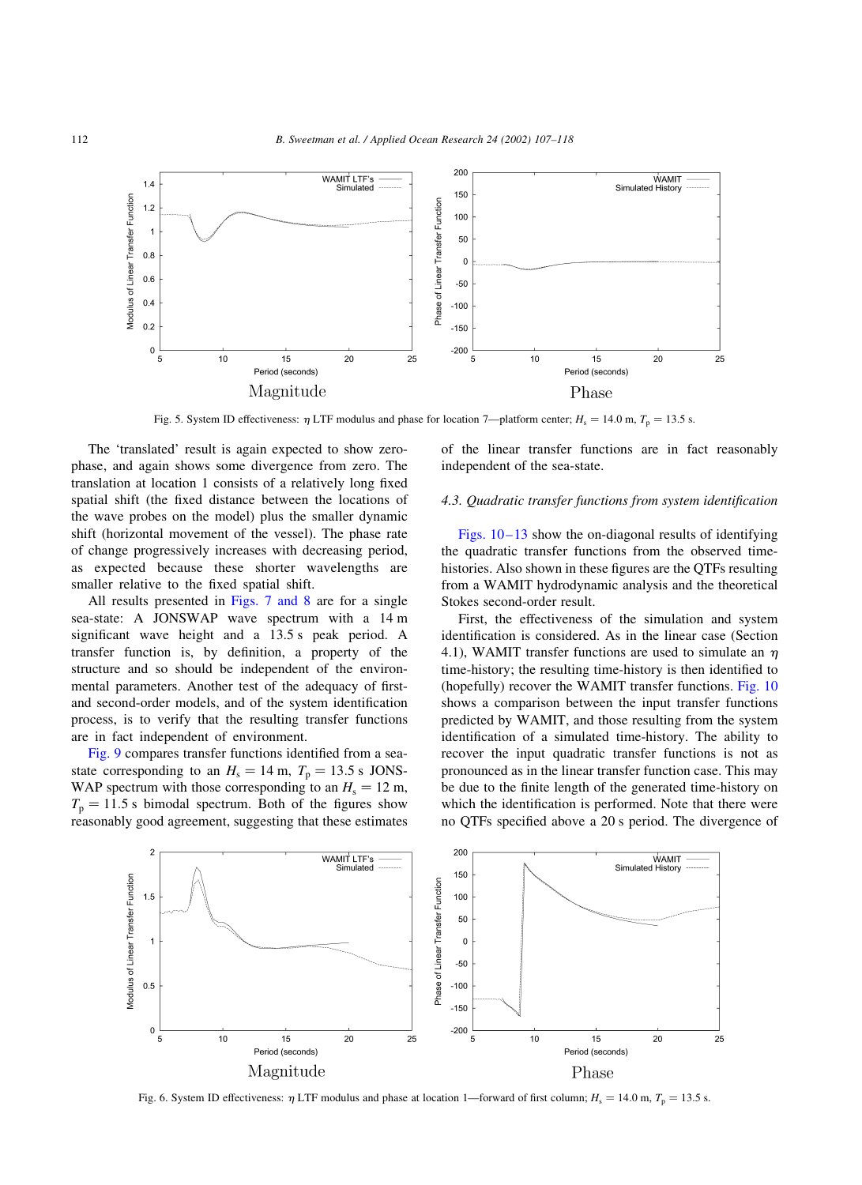<span id="page-5-0"></span>

Fig. 5. System ID effectiveness:  $\eta$  LTF modulus and phase for location 7—platform center;  $H_s = 14.0$  m,  $T_p = 13.5$  s.

The 'translated' result is again expected to show zerophase, and again shows some divergence from zero. The translation at location 1 consists of a relatively long fixed spatial shift (the fixed distance between the locations of the wave probes on the model) plus the smaller dynamic shift (horizontal movement of the vessel). The phase rate of change progressively increases with decreasing period, as expected because these shorter wavelengths are smaller relative to the fixed spatial shift.

All results presented in [Figs. 7 and 8](#page-6-0) are for a single sea-state: A JONSWAP wave spectrum with a 14 m significant wave height and a 13.5 s peak period. A transfer function is, by definition, a property of the structure and so should be independent of the environmental parameters. Another test of the adequacy of firstand second-order models, and of the system identification process, is to verify that the resulting transfer functions are in fact independent of environment.

[Fig. 9](#page-7-0) compares transfer functions identified from a seastate corresponding to an  $H_s = 14$  m,  $T_p = 13.5$  s JONS-WAP spectrum with those corresponding to an  $H_s = 12$  m,  $T_p = 11.5$  s bimodal spectrum. Both of the figures show reasonably good agreement, suggesting that these estimates

of the linear transfer functions are in fact reasonably independent of the sea-state.

## 4.3. Quadratic transfer functions from system identification

[Figs. 10–13](#page-7-0) show the on-diagonal results of identifying the quadratic transfer functions from the observed timehistories. Also shown in these figures are the QTFs resulting from a WAMIT hydrodynamic analysis and the theoretical Stokes second-order result.

First, the effectiveness of the simulation and system identification is considered. As in the linear case (Section 4.1), WAMIT transfer functions are used to simulate an  $\eta$ time-history; the resulting time-history is then identified to (hopefully) recover the WAMIT transfer functions. [Fig. 10](#page-7-0) shows a comparison between the input transfer functions predicted by WAMIT, and those resulting from the system identification of a simulated time-history. The ability to recover the input quadratic transfer functions is not as pronounced as in the linear transfer function case. This may be due to the finite length of the generated time-history on which the identification is performed. Note that there were no QTFs specified above a 20 s period. The divergence of



Fig. 6. System ID effectiveness:  $\eta$  LTF modulus and phase at location 1—forward of first column;  $H_s = 14.0$  m,  $T_p = 13.5$  s.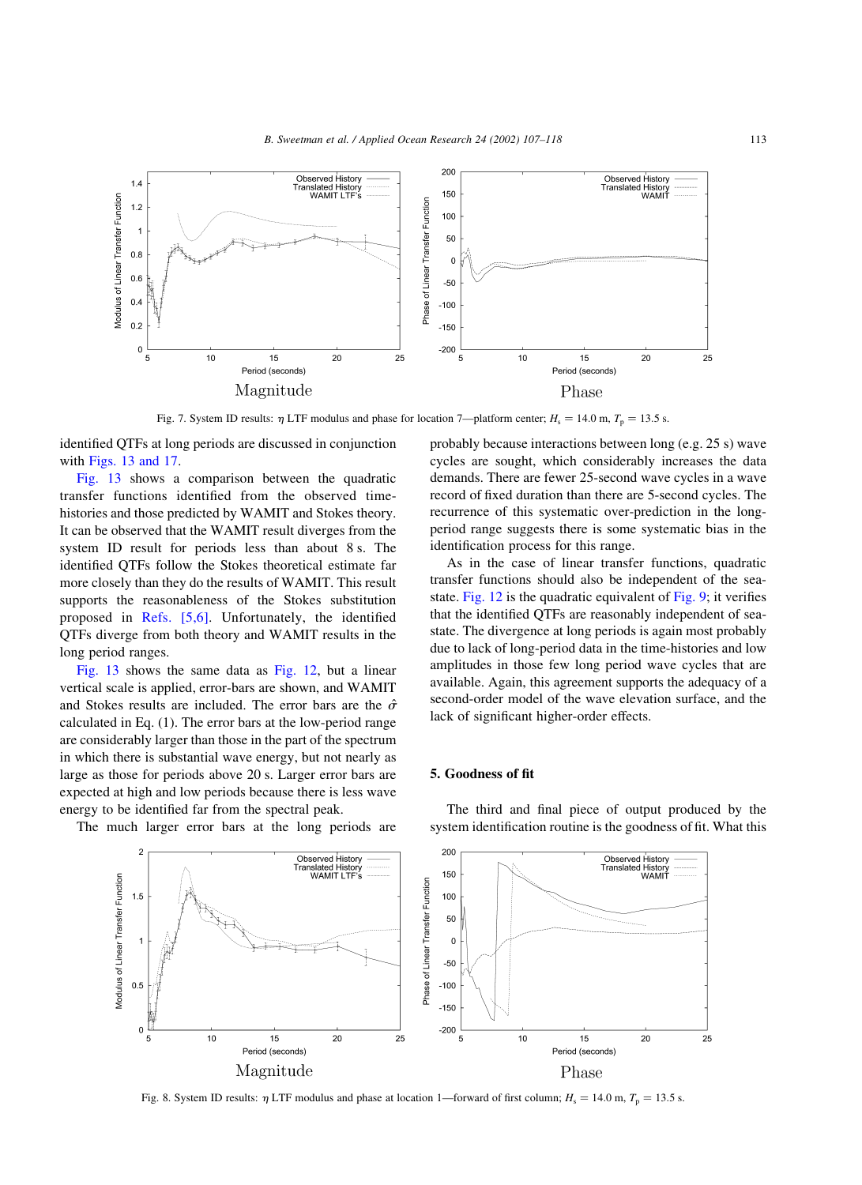<span id="page-6-0"></span>

Fig. 7. System ID results:  $\eta$  LTF modulus and phase for location 7—platform center;  $H_s = 14.0$  m,  $T_p = 13.5$  s.

identified QTFs at long periods are discussed in conjunction with [Figs. 13 and 17](#page-9-0).

[Fig. 13](#page-9-0) shows a comparison between the quadratic transfer functions identified from the observed timehistories and those predicted by WAMIT and Stokes theory. It can be observed that the WAMIT result diverges from the system ID result for periods less than about 8 s. The identified QTFs follow the Stokes theoretical estimate far more closely than they do the results of WAMIT. This result supports the reasonableness of the Stokes substitution proposed in [Refs. \[5,6\]](#page-11-0). Unfortunately, the identified QTFs diverge from both theory and WAMIT results in the long period ranges.

[Fig. 13](#page-9-0) shows the same data as [Fig. 12](#page-8-0), but a linear vertical scale is applied, error-bars are shown, and WAMIT and Stokes results are included. The error bars are the  $\hat{\sigma}$ calculated in Eq. (1). The error bars at the low-period range are considerably larger than those in the part of the spectrum in which there is substantial wave energy, but not nearly as large as those for periods above 20 s. Larger error bars are expected at high and low periods because there is less wave energy to be identified far from the spectral peak.

The much larger error bars at the long periods are

probably because interactions between long (e.g. 25 s) wave cycles are sought, which considerably increases the data demands. There are fewer 25-second wave cycles in a wave record of fixed duration than there are 5-second cycles. The recurrence of this systematic over-prediction in the longperiod range suggests there is some systematic bias in the identification process for this range.

As in the case of linear transfer functions, quadratic transfer functions should also be independent of the sea-state. [Fig. 12](#page-8-0) is the quadratic equivalent of [Fig. 9;](#page-7-0) it verifies that the identified QTFs are reasonably independent of seastate. The divergence at long periods is again most probably due to lack of long-period data in the time-histories and low amplitudes in those few long period wave cycles that are available. Again, this agreement supports the adequacy of a second-order model of the wave elevation surface, and the lack of significant higher-order effects.

## 5. Goodness of fit



The third and final piece of output produced by the system identification routine is the goodness of fit. What this

Fig. 8. System ID results:  $\eta$  LTF modulus and phase at location 1—forward of first column;  $H_s = 14.0$  m,  $T_p = 13.5$  s.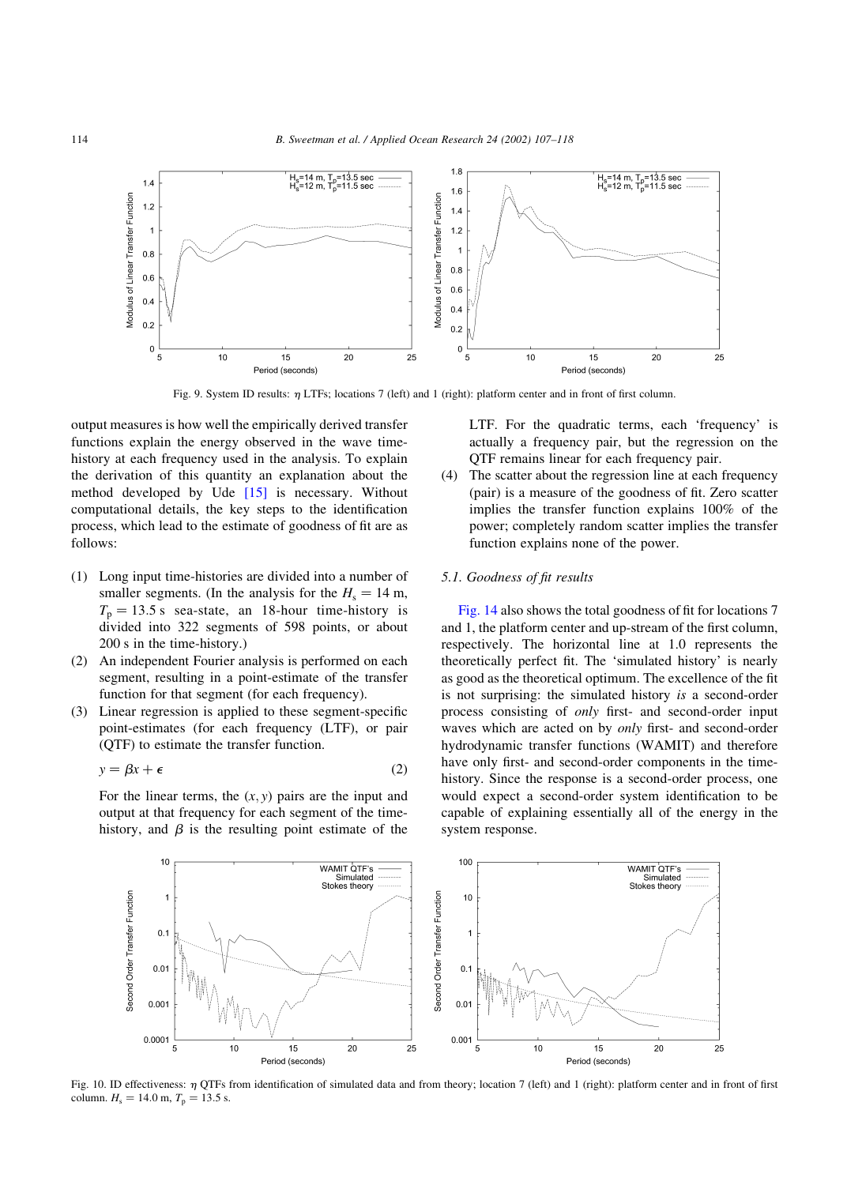<span id="page-7-0"></span>

Fig. 9. System ID results:  $\eta$  LTFs; locations 7 (left) and 1 (right): platform center and in front of first column.

output measures is how well the empirically derived transfer functions explain the energy observed in the wave timehistory at each frequency used in the analysis. To explain the derivation of this quantity an explanation about the method developed by Ude [\[15\]](#page-11-0) is necessary. Without computational details, the key steps to the identification process, which lead to the estimate of goodness of fit are as follows:

- (1) Long input time-histories are divided into a number of smaller segments. (In the analysis for the  $H_s = 14$  m,  $T_p = 13.5$  s sea-state, an 18-hour time-history is divided into 322 segments of 598 points, or about 200 s in the time-history.)
- (2) An independent Fourier analysis is performed on each segment, resulting in a point-estimate of the transfer function for that segment (for each frequency).
- (3) Linear regression is applied to these segment-specific point-estimates (for each frequency (LTF), or pair (QTF) to estimate the transfer function.

$$
y = \beta x + \epsilon \tag{2}
$$

For the linear terms, the  $(x, y)$  pairs are the input and output at that frequency for each segment of the timehistory, and  $\beta$  is the resulting point estimate of the

LTF. For the quadratic terms, each 'frequency' is actually a frequency pair, but the regression on the QTF remains linear for each frequency pair.

(4) The scatter about the regression line at each frequency (pair) is a measure of the goodness of fit. Zero scatter implies the transfer function explains 100% of the power; completely random scatter implies the transfer function explains none of the power.

## 5.1. Goodness of fit results

[Fig. 14](#page-9-0) also shows the total goodness of fit for locations 7 and 1, the platform center and up-stream of the first column, respectively. The horizontal line at 1.0 represents the theoretically perfect fit. The 'simulated history' is nearly as good as the theoretical optimum. The excellence of the fit is not surprising: the simulated history is a second-order process consisting of only first- and second-order input waves which are acted on by only first- and second-order hydrodynamic transfer functions (WAMIT) and therefore have only first- and second-order components in the timehistory. Since the response is a second-order process, one would expect a second-order system identification to be capable of explaining essentially all of the energy in the system response.



Fig. 10. ID effectiveness:  $\eta$  QTFs from identification of simulated data and from theory; location 7 (left) and 1 (right): platform center and in front of first column.  $H_s = 14.0$  m,  $T_p = 13.5$  s.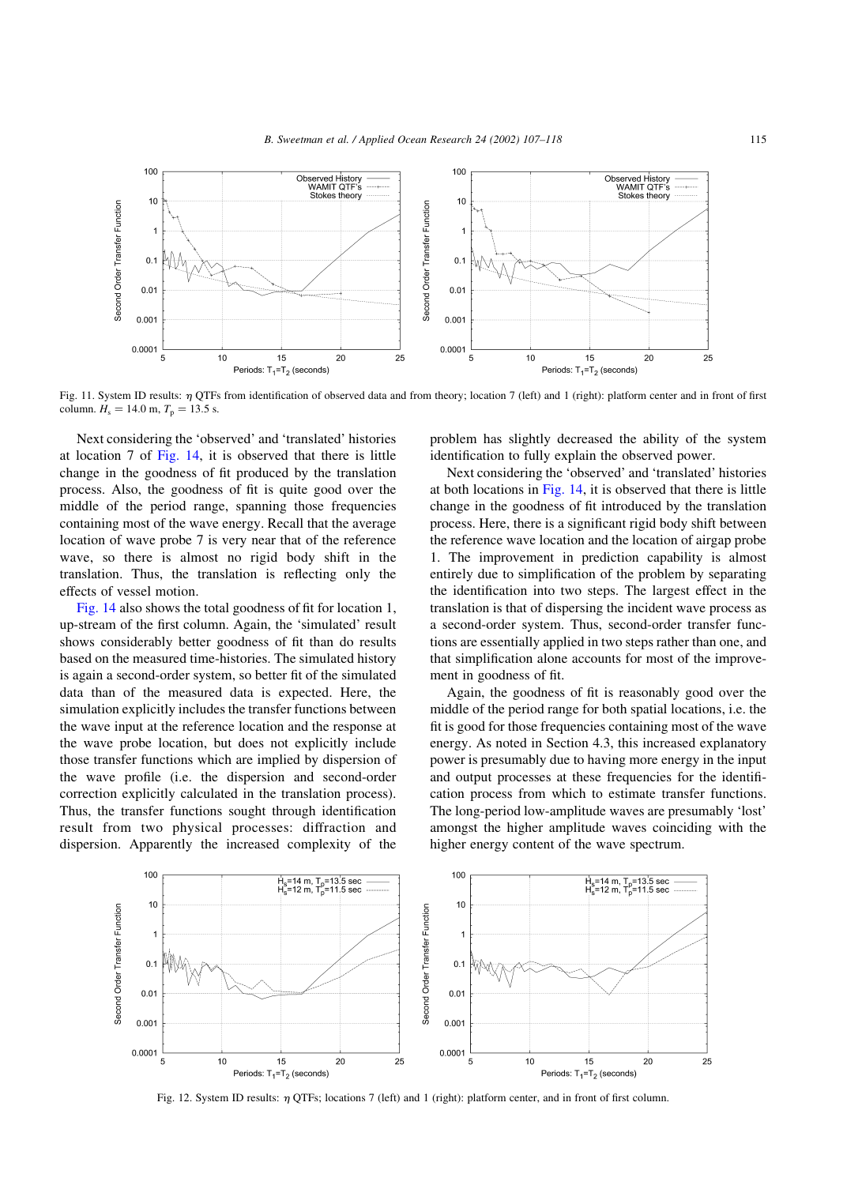<span id="page-8-0"></span>

Fig. 11. System ID results:  $\eta$  OTFs from identification of observed data and from theory; location 7 (left) and 1 (right): platform center and in front of first column.  $H_s = 14.0$  m,  $T_p = 13.5$  s.

Next considering the 'observed' and 'translated' histories at location 7 of [Fig. 14,](#page-9-0) it is observed that there is little change in the goodness of fit produced by the translation process. Also, the goodness of fit is quite good over the middle of the period range, spanning those frequencies containing most of the wave energy. Recall that the average location of wave probe 7 is very near that of the reference wave, so there is almost no rigid body shift in the translation. Thus, the translation is reflecting only the effects of vessel motion.

[Fig. 14](#page-9-0) also shows the total goodness of fit for location 1, up-stream of the first column. Again, the 'simulated' result shows considerably better goodness of fit than do results based on the measured time-histories. The simulated history is again a second-order system, so better fit of the simulated data than of the measured data is expected. Here, the simulation explicitly includes the transfer functions between the wave input at the reference location and the response at the wave probe location, but does not explicitly include those transfer functions which are implied by dispersion of the wave profile (i.e. the dispersion and second-order correction explicitly calculated in the translation process). Thus, the transfer functions sought through identification result from two physical processes: diffraction and dispersion. Apparently the increased complexity of the

problem has slightly decreased the ability of the system identification to fully explain the observed power.

Next considering the 'observed' and 'translated' histories at both locations in [Fig. 14](#page-9-0), it is observed that there is little change in the goodness of fit introduced by the translation process. Here, there is a significant rigid body shift between the reference wave location and the location of airgap probe 1. The improvement in prediction capability is almost entirely due to simplification of the problem by separating the identification into two steps. The largest effect in the translation is that of dispersing the incident wave process as a second-order system. Thus, second-order transfer functions are essentially applied in two steps rather than one, and that simplification alone accounts for most of the improvement in goodness of fit.

Again, the goodness of fit is reasonably good over the middle of the period range for both spatial locations, i.e. the fit is good for those frequencies containing most of the wave energy. As noted in Section 4.3, this increased explanatory power is presumably due to having more energy in the input and output processes at these frequencies for the identification process from which to estimate transfer functions. The long-period low-amplitude waves are presumably 'lost' amongst the higher amplitude waves coinciding with the higher energy content of the wave spectrum.



Fig. 12. System ID results:  $\eta$  QTFs; locations 7 (left) and 1 (right): platform center, and in front of first column.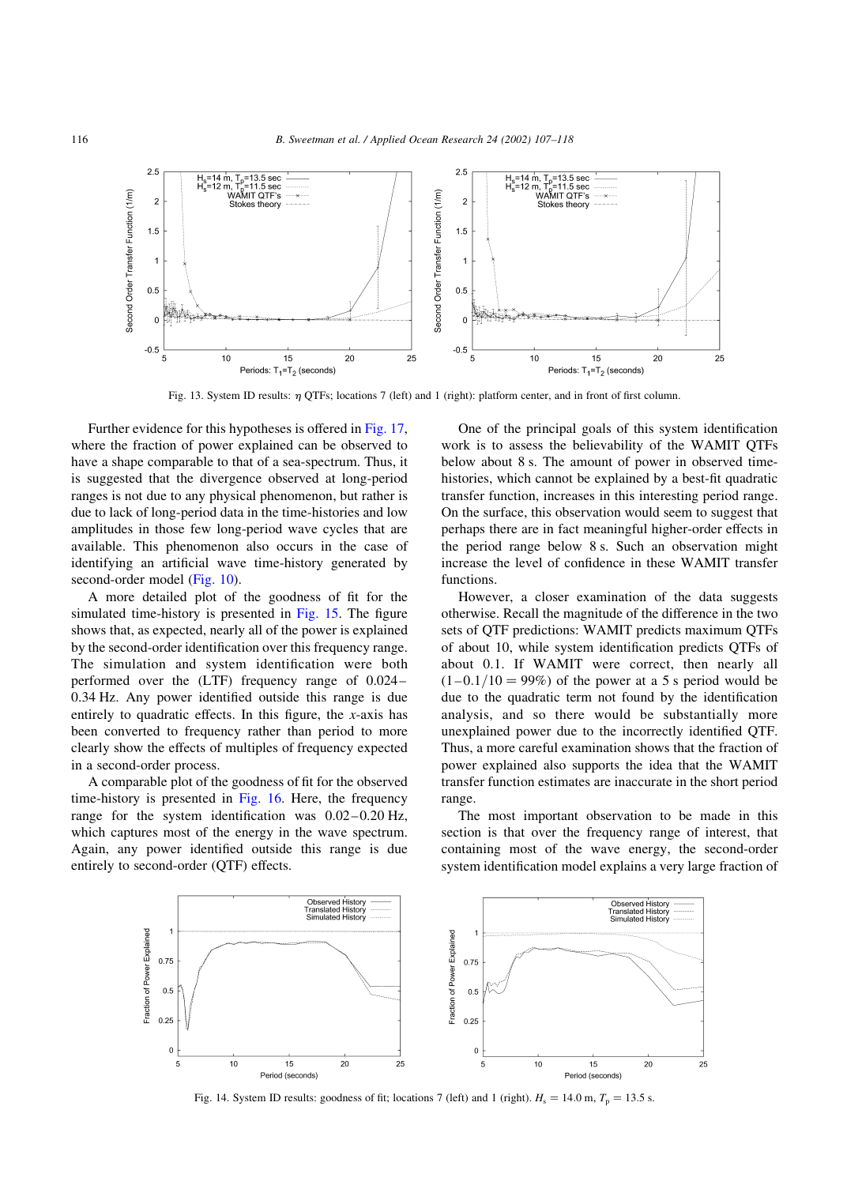<span id="page-9-0"></span>

Fig. 13. System ID results:  $\eta$  QTFs; locations 7 (left) and 1 (right): platform center, and in front of first column.

Further evidence for this hypotheses is offered in [Fig. 17](#page-10-0), where the fraction of power explained can be observed to have a shape comparable to that of a sea-spectrum. Thus, it is suggested that the divergence observed at long-period ranges is not due to any physical phenomenon, but rather is due to lack of long-period data in the time-histories and low amplitudes in those few long-period wave cycles that are available. This phenomenon also occurs in the case of identifying an artificial wave time-history generated by second-order model [\(Fig. 10\)](#page-7-0).

A more detailed plot of the goodness of fit for the simulated time-history is presented in [Fig. 15.](#page-10-0) The figure shows that, as expected, nearly all of the power is explained by the second-order identification over this frequency range. The simulation and system identification were both performed over the (LTF) frequency range of 0.024– 0.34 Hz. Any power identified outside this range is due entirely to quadratic effects. In this figure, the  $x$ -axis has been converted to frequency rather than period to more clearly show the effects of multiples of frequency expected in a second-order process.

A comparable plot of the goodness of fit for the observed time-history is presented in [Fig. 16.](#page-10-0) Here, the frequency range for the system identification was 0.02–0.20 Hz, which captures most of the energy in the wave spectrum. Again, any power identified outside this range is due entirely to second-order (QTF) effects.

One of the principal goals of this system identification work is to assess the believability of the WAMIT QTFs below about 8 s. The amount of power in observed timehistories, which cannot be explained by a best-fit quadratic transfer function, increases in this interesting period range. On the surface, this observation would seem to suggest that perhaps there are in fact meaningful higher-order effects in the period range below 8 s. Such an observation might increase the level of confidence in these WAMIT transfer functions.

However, a closer examination of the data suggests otherwise. Recall the magnitude of the difference in the two sets of QTF predictions: WAMIT predicts maximum QTFs of about 10, while system identification predicts QTFs of about 0.1. If WAMIT were correct, then nearly all  $(1-0.1/10 = 99%)$  of the power at a 5 s period would be due to the quadratic term not found by the identification analysis, and so there would be substantially more unexplained power due to the incorrectly identified QTF. Thus, a more careful examination shows that the fraction of power explained also supports the idea that the WAMIT transfer function estimates are inaccurate in the short period range.

The most important observation to be made in this section is that over the frequency range of interest, that containing most of the wave energy, the second-order system identification model explains a very large fraction of



Fig. 14. System ID results: goodness of fit; locations 7 (left) and 1 (right).  $H_s = 14.0$  m,  $T_p = 13.5$  s.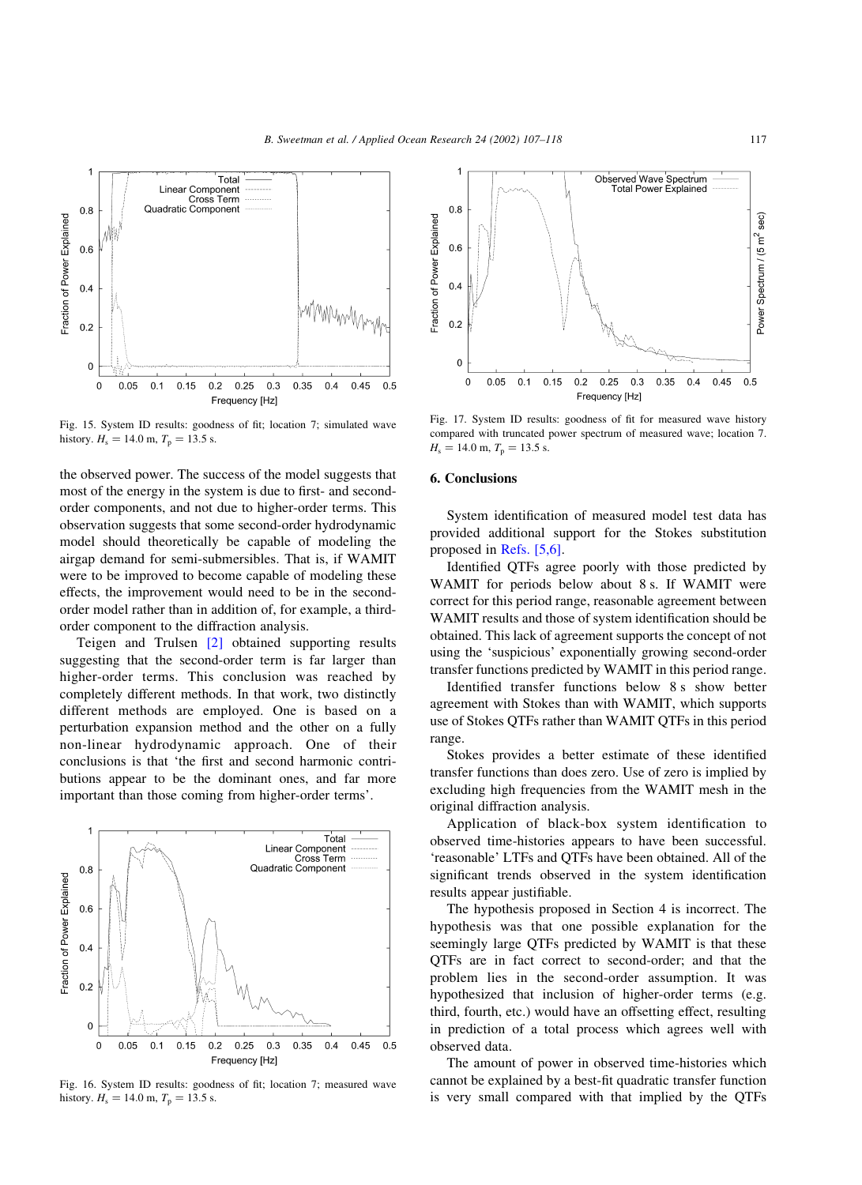$0.8$ 

 $0.6$ 

<span id="page-10-0"></span>

Fig. 15. System ID results: goodness of fit; location 7; simulated wave history.  $H_s = 14.0$  m,  $T_p = 13.5$  s.

the observed power. The success of the model suggests that most of the energy in the system is due to first- and secondorder components, and not due to higher-order terms. This observation suggests that some second-order hydrodynamic model should theoretically be capable of modeling the airgap demand for semi-submersibles. That is, if WAMIT were to be improved to become capable of modeling these effects, the improvement would need to be in the secondorder model rather than in addition of, for example, a thirdorder component to the diffraction analysis.

Teigen and Trulsen [\[2\]](#page-11-0) obtained supporting results suggesting that the second-order term is far larger than higher-order terms. This conclusion was reached by completely different methods. In that work, two distinctly different methods are employed. One is based on a perturbation expansion method and the other on a fully non-linear hydrodynamic approach. One of their conclusions is that 'the first and second harmonic contributions appear to be the dominant ones, and far more important than those coming from higher-order terms'.



Fig. 16. System ID results: goodness of fit; location 7; measured wave history.  $H_s = 14.0$  m,  $T_p = 13.5$  s.

Spectrum / (5 m<sup>2</sup> sec) Fraction of Power Explained  $0.4$ Power  $0.2$  $\mathbf 0$  $\mathbf 0$  $0.05$  $0<sub>1</sub>$  $0.15$  $0<sub>2</sub>$  $0.25$  $0.3$  $0.35$  $0.4$  $0.45$  $0.5$ Frequency [Hz]

Observed Wave Spectrum Total Power Explained

Fig. 17. System ID results: goodness of fit for measured wave history compared with truncated power spectrum of measured wave; location 7.  $H_s = 14.0$  m,  $T_p = 13.5$  s.

## 6. Conclusions

System identification of measured model test data has provided additional support for the Stokes substitution proposed in [Refs. \[5,6\].](#page-11-0)

Identified QTFs agree poorly with those predicted by WAMIT for periods below about 8 s. If WAMIT were correct for this period range, reasonable agreement between WAMIT results and those of system identification should be obtained. This lack of agreement supports the concept of not using the 'suspicious' exponentially growing second-order transfer functions predicted by WAMIT in this period range.

Identified transfer functions below 8 s show better agreement with Stokes than with WAMIT, which supports use of Stokes QTFs rather than WAMIT QTFs in this period range.

Stokes provides a better estimate of these identified transfer functions than does zero. Use of zero is implied by excluding high frequencies from the WAMIT mesh in the original diffraction analysis.

Application of black-box system identification to observed time-histories appears to have been successful. 'reasonable' LTFs and QTFs have been obtained. All of the significant trends observed in the system identification results appear justifiable.

The hypothesis proposed in Section 4 is incorrect. The hypothesis was that one possible explanation for the seemingly large QTFs predicted by WAMIT is that these QTFs are in fact correct to second-order; and that the problem lies in the second-order assumption. It was hypothesized that inclusion of higher-order terms (e.g. third, fourth, etc.) would have an offsetting effect, resulting in prediction of a total process which agrees well with observed data.

The amount of power in observed time-histories which cannot be explained by a best-fit quadratic transfer function is very small compared with that implied by the QTFs